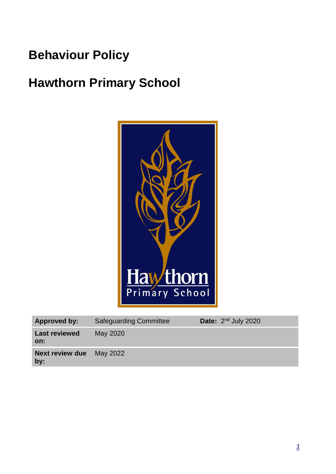# **Behaviour Policy**

# **Hawthorn Primary School**



| <b>Approved by:</b>           | <b>Safeguarding Committee</b> | Date: $2nd$ July 2020 |
|-------------------------------|-------------------------------|-----------------------|
| <b>Last reviewed</b><br>on:   | May 2020                      |                       |
| <b>Next review due</b><br>by: | May 2022                      |                       |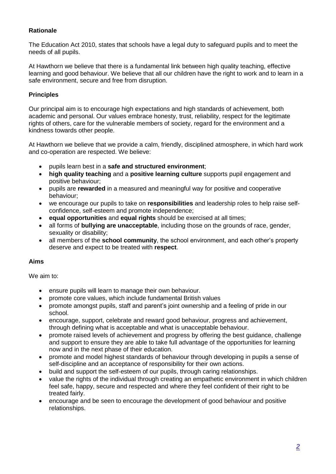## **Rationale**

The Education Act 2010, states that schools have a legal duty to safeguard pupils and to meet the needs of all pupils.

At Hawthorn we believe that there is a fundamental link between high quality teaching, effective learning and good behaviour. We believe that all our children have the right to work and to learn in a safe environment, secure and free from disruption.

## **Principles**

Our principal aim is to encourage high expectations and high standards of achievement, both academic and personal. Our values embrace honesty, trust, reliability, respect for the legitimate rights of others, care for the vulnerable members of society, regard for the environment and a kindness towards other people.

At Hawthorn we believe that we provide a calm, friendly, disciplined atmosphere, in which hard work and co-operation are respected. We believe:

- pupils learn best in a **safe and structured environment**;
- **high quality teaching** and a **positive learning culture** supports pupil engagement and positive behaviour;
- pupils are **rewarded** in a measured and meaningful way for positive and cooperative behaviour;
- we encourage our pupils to take on **responsibilities** and leadership roles to help raise selfconfidence, self-esteem and promote independence;
- **equal opportunities** and **equal rights** should be exercised at all times;
- all forms of **bullying are unacceptable**, including those on the grounds of race, gender, sexuality or disability;
- all members of the **school community**, the school environment, and each other's property deserve and expect to be treated with **respect**.

## **Aims**

We aim to:

- ensure pupils will learn to manage their own behaviour.
- promote core values, which include fundamental British values
- promote amongst pupils, staff and parent's joint ownership and a feeling of pride in our school.
- encourage, support, celebrate and reward good behaviour, progress and achievement, through defining what is acceptable and what is unacceptable behaviour.
- promote raised levels of achievement and progress by offering the best guidance, challenge and support to ensure they are able to take full advantage of the opportunities for learning now and in the next phase of their education.
- promote and model highest standards of behaviour through developing in pupils a sense of self-discipline and an acceptance of responsibility for their own actions.
- build and support the self-esteem of our pupils, through caring relationships.
- value the rights of the individual through creating an empathetic environment in which children feel safe, happy, secure and respected and where they feel confident of their right to be treated fairly.
- encourage and be seen to encourage the development of good behaviour and positive relationships.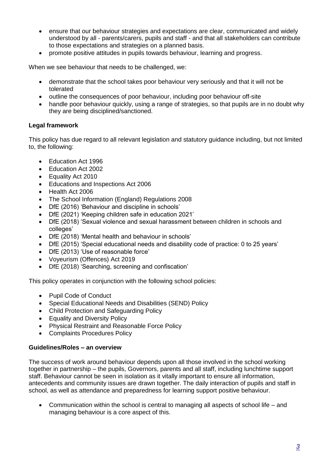- ensure that our behaviour strategies and expectations are clear, communicated and widely understood by all - parents/carers, pupils and staff - and that all stakeholders can contribute to those expectations and strategies on a planned basis.
- promote positive attitudes in pupils towards behaviour, learning and progress.

When we see behaviour that needs to be challenged, we:

- demonstrate that the school takes poor behaviour very seriously and that it will not be tolerated
- outline the consequences of poor behaviour, including poor behaviour off-site
- handle poor behaviour quickly, using a range of strategies, so that pupils are in no doubt why they are being disciplined/sanctioned.

## **Legal framework**

This policy has due regard to all relevant legislation and statutory guidance including, but not limited to, the following:

- Education Act 1996
- Education Act 2002
- Equality Act 2010
- Educations and Inspections Act 2006
- Health Act 2006
- The School Information (England) Regulations 2008
- DfE (2016) 'Behaviour and discipline in schools'
- DfE (2021) 'Keeping children safe in education 2021'
- DfE (2018) 'Sexual violence and sexual harassment between children in schools and colleges'
- DfE (2018) 'Mental health and behaviour in schools'
- DfE (2015) 'Special educational needs and disability code of practice: 0 to 25 years'
- DfE (2013) 'Use of reasonable force'
- Voyeurism (Offences) Act 2019
- DfE (2018) 'Searching, screening and confiscation'

This policy operates in conjunction with the following school policies:

- Pupil Code of Conduct
- Special Educational Needs and Disabilities (SEND) Policy
- Child Protection and Safeguarding Policy
- Equality and Diversity Policy
- Physical Restraint and Reasonable Force Policy
- Complaints Procedures Policy

## **Guidelines/Roles – an overview**

The success of work around behaviour depends upon all those involved in the school working together in partnership – the pupils, Governors, parents and all staff, including lunchtime support staff. Behaviour cannot be seen in isolation as it vitally important to ensure all information, antecedents and community issues are drawn together. The daily interaction of pupils and staff in school, as well as attendance and preparedness for learning support positive behaviour.

 Communication within the school is central to managing all aspects of school life – and managing behaviour is a core aspect of this.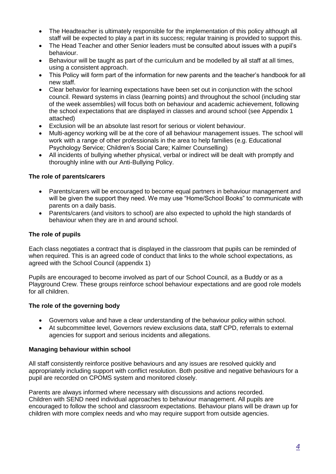- The Headteacher is ultimately responsible for the implementation of this policy although all staff will be expected to play a part in its success; regular training is provided to support this.
- The Head Teacher and other Senior leaders must be consulted about issues with a pupil's behaviour.
- Behaviour will be taught as part of the curriculum and be modelled by all staff at all times, using a consistent approach.
- This Policy will form part of the information for new parents and the teacher's handbook for all new staff.
- Clear behavior for learning expectations have been set out in conjunction with the school council. Reward systems in class (learning points) and throughout the school (including star of the week assemblies) will focus both on behaviour and academic achievement, following the school expectations that are displayed in classes and around school (see Appendix 1 attached)
- Exclusion will be an absolute last resort for serious or violent behaviour.
- Multi-agency working will be at the core of all behaviour management issues. The school will work with a range of other professionals in the area to help families (e.g. Educational Psychology Service; Children's Social Care; Kalmer Counselling)
- All incidents of bullying whether physical, verbal or indirect will be dealt with promptly and thoroughly inline with our Anti-Bullying Policy.

## **The role of parents/carers**

- Parents/carers will be encouraged to become equal partners in behaviour management and will be given the support they need. We may use "Home/School Books" to communicate with parents on a daily basis.
- Parents/carers (and visitors to school) are also expected to uphold the high standards of behaviour when they are in and around school.

## **The role of pupils**

Each class negotiates a contract that is displayed in the classroom that pupils can be reminded of when required. This is an agreed code of conduct that links to the whole school expectations, as agreed with the School Council (appendix 1)

Pupils are encouraged to become involved as part of our School Council, as a Buddy or as a Playground Crew. These groups reinforce school behaviour expectations and are good role models for all children.

## **The role of the governing body**

- Governors value and have a clear understanding of the behaviour policy within school.
- At subcommittee level, Governors review exclusions data, staff CPD, referrals to external agencies for support and serious incidents and allegations.

## **Managing behaviour within school**

All staff consistently reinforce positive behaviours and any issues are resolved quickly and appropriately including support with conflict resolution. Both positive and negative behaviours for a pupil are recorded on CPOMS system and monitored closely.

Parents are always informed where necessary with discussions and actions recorded. Children with SEND need individual approaches to behaviour management. All pupils are encouraged to follow the school and classroom expectations. Behaviour plans will be drawn up for children with more complex needs and who may require support from outside agencies.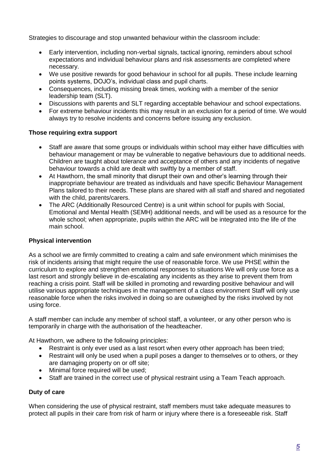Strategies to discourage and stop unwanted behaviour within the classroom include:

- Early intervention, including non-verbal signals, tactical ignoring, reminders about school expectations and individual behaviour plans and risk assessments are completed where necessary.
- We use positive rewards for good behaviour in school for all pupils. These include learning points systems, DOJO's, individual class and pupil charts.
- Consequences, including missing break times, working with a member of the senior leadership team (SLT).
- Discussions with parents and SLT regarding acceptable behaviour and school expectations.
- For extreme behaviour incidents this may result in an exclusion for a period of time. We would always try to resolve incidents and concerns before issuing any exclusion.

## **Those requiring extra support**

- Staff are aware that some groups or individuals within school may either have difficulties with behaviour management or may be vulnerable to negative behaviours due to additional needs. Children are taught about tolerance and acceptance of others and any incidents of negative behaviour towards a child are dealt with swiftly by a member of staff.
- At Hawthorn, the small minority that disrupt their own and other's learning through their inappropriate behaviour are treated as individuals and have specific Behaviour Management Plans tailored to their needs. These plans are shared with all staff and shared and negotiated with the child, parents/carers.
- The ARC (Additionally Resourced Centre) is a unit within school for pupils with Social. Emotional and Mental Health (SEMH) additional needs, and will be used as a resource for the whole school; when appropriate, pupils within the ARC will be integrated into the life of the main school.

## **Physical intervention**

As a school we are firmly committed to creating a calm and safe environment which minimises the risk of incidents arising that might require the use of reasonable force. We use PHSE within the curriculum to explore and strengthen emotional responses to situations We will only use force as a last resort and strongly believe in de-escalating any incidents as they arise to prevent them from reaching a crisis point. Staff will be skilled in promoting and rewarding positive behaviour and will utilise various appropriate techniques in the management of a class environment Staff will only use reasonable force when the risks involved in doing so are outweighed by the risks involved by not using force.

A staff member can include any member of school staff, a volunteer, or any other person who is temporarily in charge with the authorisation of the headteacher.

At Hawthorn, we adhere to the following principles:

- Restraint is only ever used as a last resort when every other approach has been tried;
- Restraint will only be used when a pupil poses a danger to themselves or to others, or they are damaging property on or off site;
- Minimal force required will be used;
- Staff are trained in the correct use of physical restraint using a Team Teach approach.

## **Duty of care**

When considering the use of physical restraint, staff members must take adequate measures to protect all pupils in their care from risk of harm or injury where there is a foreseeable risk. Staff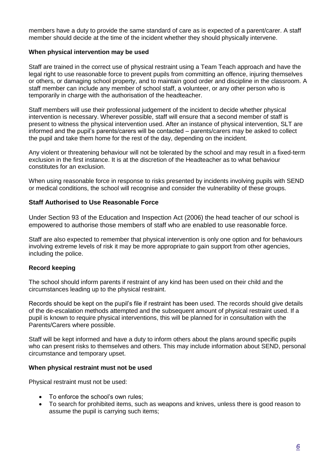members have a duty to provide the same standard of care as is expected of a parent/carer. A staff member should decide at the time of the incident whether they should physically intervene.

## **When physical intervention may be used**

Staff are trained in the correct use of physical restraint using a Team Teach approach and have the legal right to use reasonable force to prevent pupils from committing an offence, injuring themselves or others, or damaging school property, and to maintain good order and discipline in the classroom. A staff member can include any member of school staff, a volunteer, or any other person who is temporarily in charge with the authorisation of the headteacher.

Staff members will use their professional judgement of the incident to decide whether physical intervention is necessary. Wherever possible, staff will ensure that a second member of staff is present to witness the physical intervention used. After an instance of physical intervention, SLT are informed and the pupil's parents/carers will be contacted – parents/carers may be asked to collect the pupil and take them home for the rest of the day, depending on the incident.

Any violent or threatening behaviour will not be tolerated by the school and may result in a fixed-term exclusion in the first instance. It is at the discretion of the Headteacher as to what behaviour constitutes for an exclusion.

When using reasonable force in response to risks presented by incidents involving pupils with SEND or medical conditions, the school will recognise and consider the vulnerability of these groups.

## **Staff Authorised to Use Reasonable Force**

Under Section 93 of the Education and Inspection Act (2006) the head teacher of our school is empowered to authorise those members of staff who are enabled to use reasonable force.

Staff are also expected to remember that physical intervention is only one option and for behaviours involving extreme levels of risk it may be more appropriate to gain support from other agencies, including the police.

## **Record keeping**

The school should inform parents if restraint of any kind has been used on their child and the circumstances leading up to the physical restraint.

Records should be kept on the pupil's file if restraint has been used. The records should give details of the de-escalation methods attempted and the subsequent amount of physical restraint used. If a pupil is known to require physical interventions, this will be planned for in consultation with the Parents/Carers where possible.

Staff will be kept informed and have a duty to inform others about the plans around specific pupils who can present risks to themselves and others. This may include information about SEND, personal circumstance and temporary upset.

#### **When physical restraint must not be used**

Physical restraint must not be used:

- To enforce the school's own rules:
- To search for prohibited items, such as weapons and knives, unless there is good reason to assume the pupil is carrying such items;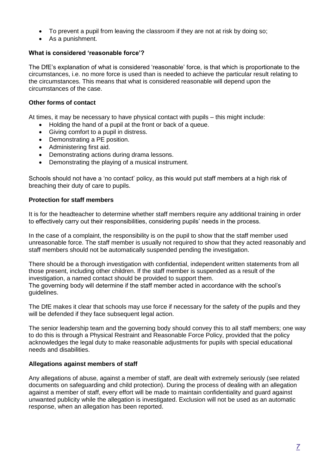- To prevent a pupil from leaving the classroom if they are not at risk by doing so;
- As a punishment.

## **What is considered 'reasonable force'?**

The DfE's explanation of what is considered 'reasonable' force, is that which is proportionate to the circumstances, i.e. no more force is used than is needed to achieve the particular result relating to the circumstances. This means that what is considered reasonable will depend upon the circumstances of the case.

## **Other forms of contact**

At times, it may be necessary to have physical contact with pupils – this might include:

- Holding the hand of a pupil at the front or back of a queue.
- Giving comfort to a pupil in distress.
- Demonstrating a PE position.
- Administering first aid.
- Demonstrating actions during drama lessons.
- Demonstrating the playing of a musical instrument.

Schools should not have a 'no contact' policy, as this would put staff members at a high risk of breaching their duty of care to pupils.

## **Protection for staff members**

It is for the headteacher to determine whether staff members require any additional training in order to effectively carry out their responsibilities, considering pupils' needs in the process.

In the case of a complaint, the responsibility is on the pupil to show that the staff member used unreasonable force. The staff member is usually not required to show that they acted reasonably and staff members should not be automatically suspended pending the investigation.

There should be a thorough investigation with confidential, independent written statements from all those present, including other children. If the staff member is suspended as a result of the investigation, a named contact should be provided to support them. The governing body will determine if the staff member acted in accordance with the school's guidelines.

The DfE makes it clear that schools may use force if necessary for the safety of the pupils and they will be defended if they face subsequent legal action.

The senior leadership team and the governing body should convey this to all staff members; one way to do this is through a Physical Restraint and Reasonable Force Policy, provided that the policy acknowledges the legal duty to make reasonable adjustments for pupils with special educational needs and disabilities.

## **Allegations against members of staff**

Any allegations of abuse, against a member of staff, are dealt with extremely seriously (see related documents on safeguarding and child protection). During the process of dealing with an allegation against a member of staff, every effort will be made to maintain confidentiality and guard against unwanted publicity while the allegation is investigated. Exclusion will not be used as an automatic response, when an allegation has been reported.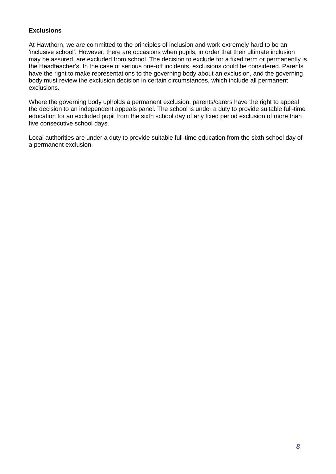## **Exclusions**

At Hawthorn, we are committed to the principles of inclusion and work extremely hard to be an 'inclusive school'. However, there are occasions when pupils, in order that their ultimate inclusion may be assured, are excluded from school. The decision to exclude for a fixed term or permanently is the Headteacher's. In the case of serious one-off incidents, exclusions could be considered. Parents have the right to make representations to the governing body about an exclusion, and the governing body must review the exclusion decision in certain circumstances, which include all permanent exclusions.

Where the governing body upholds a permanent exclusion, parents/carers have the right to appeal the decision to an independent appeals panel. The school is under a duty to provide suitable full-time education for an excluded pupil from the sixth school day of any fixed period exclusion of more than five consecutive school days.

Local authorities are under a duty to provide suitable full-time education from the sixth school day of a permanent exclusion.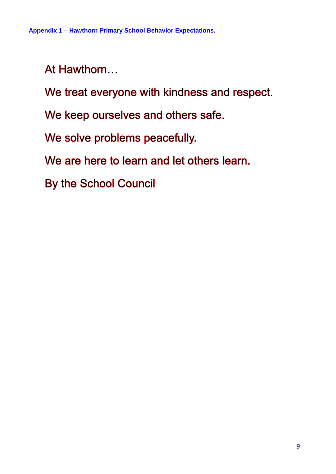At Hawthorn...

We treat everyone with kindness and respect.

We keep ourselves and others safe.

We solve problems peacefully.

We are here to learn and let others learn.

By the School Council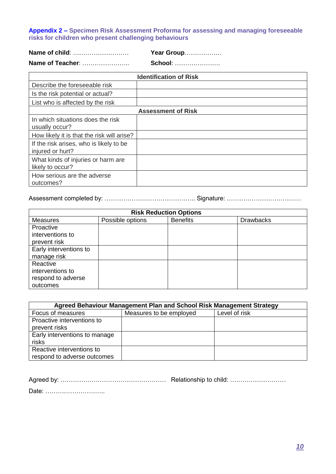## **Appendix 2 – Specimen Risk Assessment Proforma for assessing and managing foreseeable risks for children who present challenging behaviours**

|                  | Year Group     |
|------------------|----------------|
| Name of Teacher: | <b>School:</b> |

|                                                             | <b>Identification of Risk</b> |
|-------------------------------------------------------------|-------------------------------|
| Describe the foreseeable risk                               |                               |
| Is the risk potential or actual?                            |                               |
| List who is affected by the risk                            |                               |
|                                                             | <b>Assessment of Risk</b>     |
| In which situations does the risk<br>usually occur?         |                               |
| How likely it is that the risk will arise?                  |                               |
| If the risk arises, who is likely to be<br>injured or hurt? |                               |
| What kinds of injuries or harm are<br>likely to occur?      |                               |
| How serious are the adverse<br>outcomes?                    |                               |

Assessment completed by: …………………………………….. Signature: ………………………………

| <b>Risk Reduction Options</b> |                  |                 |                  |
|-------------------------------|------------------|-----------------|------------------|
| Measures                      | Possible options | <b>Benefits</b> | <b>Drawbacks</b> |
| Proactive                     |                  |                 |                  |
| interventions to              |                  |                 |                  |
| prevent risk                  |                  |                 |                  |
| Early interventions to        |                  |                 |                  |
| manage risk                   |                  |                 |                  |
| Reactive                      |                  |                 |                  |
| interventions to              |                  |                 |                  |
| respond to adverse            |                  |                 |                  |
| outcomes                      |                  |                 |                  |

| Agreed Behaviour Management Plan and School Risk Management Strategy |                         |               |
|----------------------------------------------------------------------|-------------------------|---------------|
| Focus of measures                                                    | Measures to be employed | Level of risk |
| Proactive interventions to                                           |                         |               |
| prevent risks                                                        |                         |               |
| Early interventions to manage                                        |                         |               |
| risks                                                                |                         |               |
| Reactive interventions to                                            |                         |               |
| respond to adverse outcomes                                          |                         |               |

Agreed by: …………………………………………… Relationship to child: ………………………

Date: ………………………..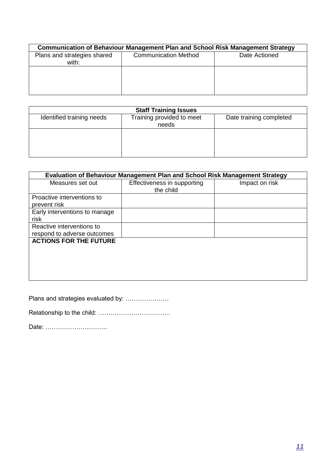|                                      | <b>Communication of Behaviour Management Plan and School Risk Management Strategy</b> |               |
|--------------------------------------|---------------------------------------------------------------------------------------|---------------|
| Plans and strategies shared<br>with: | <b>Communication Method</b>                                                           | Date Actioned |
|                                      |                                                                                       |               |
|                                      |                                                                                       |               |

|                           | <b>Staff Training Issues</b>       |                         |
|---------------------------|------------------------------------|-------------------------|
| Identified training needs | Training provided to meet<br>needs | Date training completed |
|                           |                                    |                         |
|                           |                                    |                         |

| <b>Evaluation of Behaviour Management Plan and School Risk Management Strategy</b><br>Effectiveness in supporting<br>the child | Impact on risk |
|--------------------------------------------------------------------------------------------------------------------------------|----------------|
|                                                                                                                                |                |
|                                                                                                                                |                |
|                                                                                                                                |                |
|                                                                                                                                |                |
|                                                                                                                                |                |
|                                                                                                                                |                |
|                                                                                                                                |                |
|                                                                                                                                |                |

Plans and strategies evaluated by: …………………

Relationship to the child: ……………………………..

Date: …………………………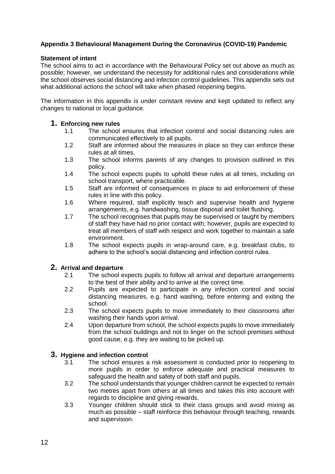## **Appendix 3 Behavioural Management During the Coronavirus (COVID-19) Pandemic**

## **Statement of intent**

The school aims to act in accordance with the Behavioural Policy set out above as much as possible; however, we understand the necessity for additional rules and considerations while the school observes social distancing and infection control guidelines. This appendix sets out what additional actions the school will take when phased reopening begins.

The information in this appendix is under constant review and kept updated to reflect any changes to national or local guidance.

## **1. Enforcing new rules**

- 1.1 The school ensures that infection control and social distancing rules are communicated effectively to all pupils.
- 1.2 Staff are informed about the measures in place so they can enforce these rules at all times.
- 1.3 The school informs parents of any changes to provision outlined in this policy.
- 1.4 The school expects pupils to uphold these rules at all times, including on school transport, where practicable.
- 1.5 Staff are informed of consequences in place to aid enforcement of these rules in line with this policy.
- 1.6 Where required, staff explicitly teach and supervise health and hygiene arrangements, e.g. handwashing, tissue disposal and toilet flushing.
- 1.7 The school recognises that pupils may be supervised or taught by members of staff they have had no prior contact with; however, pupils are expected to treat all members of staff with respect and work together to maintain a safe environment.
- 1.8 The school expects pupils in wrap-around care, e.g. breakfast clubs, to adhere to the school's social distancing and infection control rules.

## **2. Arrival and departure**

- The school expects pupils to follow all arrival and departure arrangements to the best of their ability and to arrive at the correct time.
- 2.2 Pupils are expected to participate in any infection control and social distancing measures, e.g. hand washing, before entering and exiting the school.
- 2.3 The school expects pupils to move immediately to their classrooms after washing their hands upon arrival.
- 2.4 Upon departure from school, the school expects pupils to move immediately from the school buildings and not to linger on the school premises without good cause, e.g. they are waiting to be picked up.

## **3. Hygiene and infection control**

- 3.1 The school ensures a risk assessment is conducted prior to reopening to more pupils in order to enforce adequate and practical measures to safeguard the health and safety of both staff and pupils.
- 3.2 The school understands that younger children cannot be expected to remain two metres apart from others at all times and takes this into account with regards to discipline and giving rewards.
- 3.3 Younger children should stick to their class groups and avoid mixing as much as possible – staff reinforce this behaviour through teaching, rewards and supervision.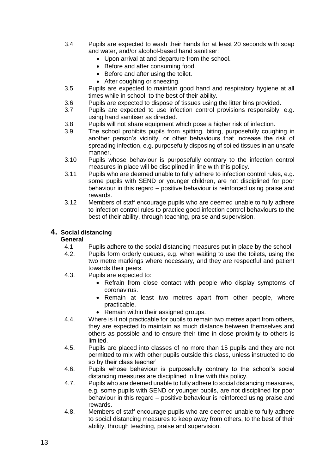- 3.4 Pupils are expected to wash their hands for at least 20 seconds with soap and water, and/or alcohol-based hand sanitiser:
	- Upon arrival at and departure from the school.
	- Before and after consuming food.
	- Before and after using the toilet.
	- After coughing or sneezing.
- 3.5 Pupils are expected to maintain good hand and respiratory hygiene at all times while in school, to the best of their ability.
- 3.6 Pupils are expected to dispose of tissues using the litter bins provided.<br>3.7 Pupils are expected to use infection control provisions responsibly.
- Pupils are expected to use infection control provisions responsibly, e.g. using hand sanitiser as directed.
- 3.8 Pupils will not share equipment which pose a higher risk of infection.
- 3.9 The school prohibits pupils from spitting, biting, purposefully coughing in another person's vicinity, or other behaviours that increase the risk of spreading infection, e.g. purposefully disposing of soiled tissues in an unsafe manner.
- 3.10 Pupils whose behaviour is purposefully contrary to the infection control measures in place will be disciplined in line with this policy.
- 3.11 Pupils who are deemed unable to fully adhere to infection control rules, e.g. some pupils with SEND or younger children, are not disciplined for poor behaviour in this regard – positive behaviour is reinforced using praise and rewards.
- 3.12 Members of staff encourage pupils who are deemed unable to fully adhere to infection control rules to practice good infection control behaviours to the best of their ability, through teaching, praise and supervision.

## **4. Social distancing**

## **General**

- 4.1 Pupils adhere to the social distancing measures put in place by the school.
- 4.2. Pupils form orderly queues, e.g. when waiting to use the toilets, using the two metre markings where necessary, and they are respectful and patient towards their peers.
- 4.3. Pupils are expected to:
	- Refrain from close contact with people who display symptoms of coronavirus.
	- Remain at least two metres apart from other people, where practicable.
	- Remain within their assigned groups.
- 4.4. Where is it not practicable for pupils to remain two metres apart from others, they are expected to maintain as much distance between themselves and others as possible and to ensure their time in close proximity to others is limited.
- 4.5. Pupils are placed into classes of no more than 15 pupils and they are not permitted to mix with other pupils outside this class, unless instructed to do so by their class teacher'
- 4.6. Pupils whose behaviour is purposefully contrary to the school's social distancing measures are disciplined in line with this policy.
- 4.7. Pupils who are deemed unable to fully adhere to social distancing measures, e.g. some pupils with SEND or younger pupils, are not disciplined for poor behaviour in this regard – positive behaviour is reinforced using praise and rewards.
- 4.8. Members of staff encourage pupils who are deemed unable to fully adhere to social distancing measures to keep away from others, to the best of their ability, through teaching, praise and supervision.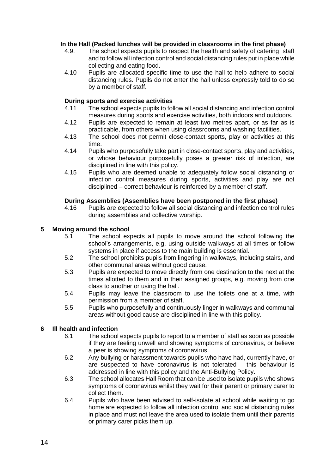## **In the Hall (Packed lunches will be provided in classrooms in the first phase)**

- 4.9. The school expects pupils to respect the health and safety of catering staff and to follow all infection control and social distancing rules put in place while collecting and eating food.
- 4.10 Pupils are allocated specific time to use the hall to help adhere to social distancing rules. Pupils do not enter the hall unless expressly told to do so by a member of staff.

## **During sports and exercise activities**

- The school expects pupils to follow all social distancing and infection control measures during sports and exercise activities, both indoors and outdoors.
- 4.12 Pupils are expected to remain at least two metres apart, or as far as is practicable, from others when using classrooms and washing facilities.
- 4.13 The school does not permit close-contact sports, play or activities at this time.
- 4.14 Pupils who purposefully take part in close-contact sports, play and activities, or whose behaviour purposefully poses a greater risk of infection, are disciplined in line with this policy.
- 4.15 Pupils who are deemed unable to adequately follow social distancing or infection control measures during sports, activities and play are not disciplined – correct behaviour is reinforced by a member of staff.

## **During Assemblies (Assemblies have been postponed in the first phase)**

4.16 Pupils are expected to follow all social distancing and infection control rules during assemblies and collective worship.

## **5 Moving around the school**

- 5.1 The school expects all pupils to move around the school following the school's arrangements, e.g. using outside walkways at all times or follow systems in place if access to the main building is essential.
- 5.2 The school prohibits pupils from lingering in walkways, including stairs, and other communal areas without good cause.
- 5.3 Pupils are expected to move directly from one destination to the next at the times allotted to them and in their assigned groups, e.g. moving from one class to another or using the hall.
- 5.4 Pupils may leave the classroom to use the toilets one at a time, with permission from a member of staff.
- 5.5 Pupils who purposefully and continuously linger in walkways and communal areas without good cause are disciplined in line with this policy.

## **6 Ill health and infection**

- 6.1 The school expects pupils to report to a member of staff as soon as possible if they are feeling unwell and showing symptoms of coronavirus, or believe a peer is showing symptoms of coronavirus.
- 6.2 Any bullying or harassment towards pupils who have had, currently have, or are suspected to have coronavirus is not tolerated – this behaviour is addressed in line with this policy and the Anti-Bullying Policy.
- 6.3 The school allocates Hall Room that can be used to isolate pupils who shows symptoms of coronavirus whilst they wait for their parent or primary carer to collect them.
- 6.4 Pupils who have been advised to self-isolate at school while waiting to go home are expected to follow all infection control and social distancing rules in place and must not leave the area used to isolate them until their parents or primary carer picks them up.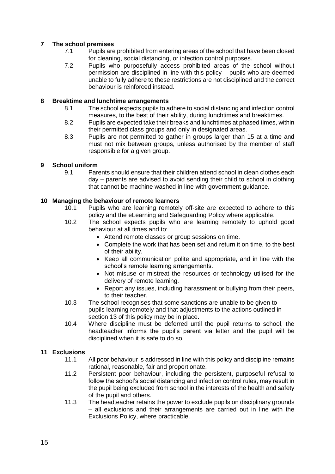## **7 The school premises**

- 7.1 Pupils are prohibited from entering areas of the school that have been closed for cleaning, social distancing, or infection control purposes.
- 7.2 Pupils who purposefully access prohibited areas of the school without permission are disciplined in line with this policy – pupils who are deemed unable to fully adhere to these restrictions are not disciplined and the correct behaviour is reinforced instead.

## **8 Breaktime and lunchtime arrangements**

- 8.1 The school expects pupils to adhere to social distancing and infection control measures, to the best of their ability, during lunchtimes and breaktimes.
- 8.2 Pupils are expected take their breaks and lunchtimes at phased times, within their permitted class groups and only in designated areas.
- 8.3 Pupils are not permitted to gather in groups larger than 15 at a time and must not mix between groups, unless authorised by the member of staff responsible for a given group.

## **9 School uniform**

9.1 Parents should ensure that their children attend school in clean clothes each day – parents are advised to avoid sending their child to school in clothing that cannot be machine washed in line with government guidance.

## **10 Managing the behaviour of remote learners**

- Pupils who are learning remotely off-site are expected to adhere to this policy and the eLearning and Safeguarding Policy where applicable.
- 10.2 The school expects pupils who are learning remotely to uphold good behaviour at all times and to:
	- Attend remote classes or group sessions on time.
	- Complete the work that has been set and return it on time, to the best of their ability.
	- Keep all communication polite and appropriate, and in line with the school's remote learning arrangements.
	- Not misuse or mistreat the resources or technology utilised for the delivery of remote learning.
	- Report any issues, including harassment or bullying from their peers, to their teacher.
- 10.3 The school recognises that some sanctions are unable to be given to pupils learning remotely and that adjustments to the actions outlined in section 13 of this policy may be in place.
- 10.4 Where discipline must be deferred until the pupil returns to school, the headteacher informs the pupil's parent via letter and the pupil will be disciplined when it is safe to do so.

## **11 Exclusions**

- 11.1 All poor behaviour is addressed in line with this policy and discipline remains rational, reasonable, fair and proportionate.
- 11.2 Persistent poor behaviour, including the persistent, purposeful refusal to follow the school's social distancing and infection control rules, may result in the pupil being excluded from school in the interests of the health and safety of the pupil and others.
- 11.3 The headteacher retains the power to exclude pupils on disciplinary grounds – all exclusions and their arrangements are carried out in line with the Exclusions Policy, where practicable.